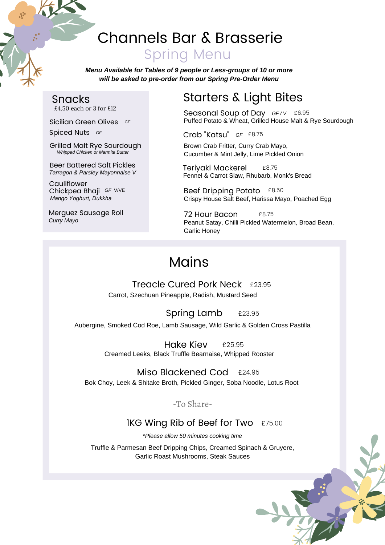# Channels Bar & Brasserie Spring Menu

*Menu Available for Tables of 9 people or Less-groups of 10 or more will be asked to pre-order from our Spring Pre-Order Menu*

## Snacks

£4.50 each or 3 for £12

Sicilian Green Olives *GF*

Spiced Nuts *GF*

Grilled Malt Rye Sourdough *Whipped Chicken or Marmite Butter*

Beer Battered Salt Pickles *Tarragon & Parsley Mayonnaise V*

Cauliflower Chickpea Bhaji *GF* V/VE *Mango Yoghurt, Dukkha*

Merguez Sausage Roll *Curry Mayo*

# Starters & Light Bites

Seasonal Soup of Day *GF / V* £6.95 Puffed Potato & Wheat, Grilled House Malt & Rye Sourdough

Crab "Katsu" *GF* £8.75

Brown Crab Fritter, Curry Crab Mayo, Cucumber & Mint Jelly, Lime Pickled Onion

Teriyaki Mackerel £8.75 Fennel & Carrot Slaw, Rhubarb, Monk's Bread

Beef Dripping Potato £8.50 Crispy House Salt Beef, Harissa Mayo, Poached Egg

72 Hour Bacon £8.75 Peanut Satay, Chilli Pickled Watermelon, Broad Bean, Garlic Honey

# **Mains**

### Treacle Cured Pork Neck £23.95 Carrot, Szechuan Pineapple, Radish, Mustard Seed

#### £23.95 Spring Lamb

Aubergine, Smoked Cod Roe, Lamb Sausage, Wild Garlic & Golden Cross Pastilla

Hake Kiev Creamed Leeks, Black Truffle Bearnaise, Whipped Rooster £25.95

### Miso Blackened Cod £24.95

Bok Choy, Leek & Shitake Broth, Pickled Ginger, Soba Noodle, Lotus Root

-To Share-

#### £75.00 1KG Wing Rib of Beef for Two

\**Please allow 50 minutes cooking time*

Truffle & Parmesan Beef Dripping Chips, Creamed Spinach & Gruyere, Garlic Roast Mushrooms, Steak Sauces